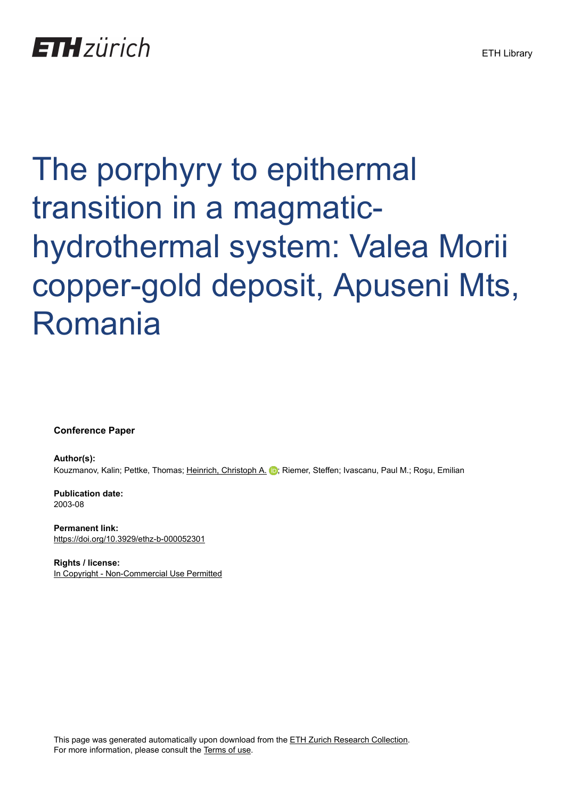# **ETH** zürich

# The porphyry to epithermal transition in a magmatichydrothermal system: Valea Morii copper-gold deposit, Apuseni Mts, Romania

**Conference Paper**

**Author(s):** Kouzmanov, Kalin; Pettke, Thomas; [Heinrich, Christoph A.](https://orcid.org/0000-0001-5838-4607) D; Riemer, Steffen; Ivascanu, Paul M.; Roșu, Emilian

**Publication date:** 2003-08

**Permanent link:** <https://doi.org/10.3929/ethz-b-000052301>

**Rights / license:** [In Copyright - Non-Commercial Use Permitted](http://rightsstatements.org/page/InC-NC/1.0/)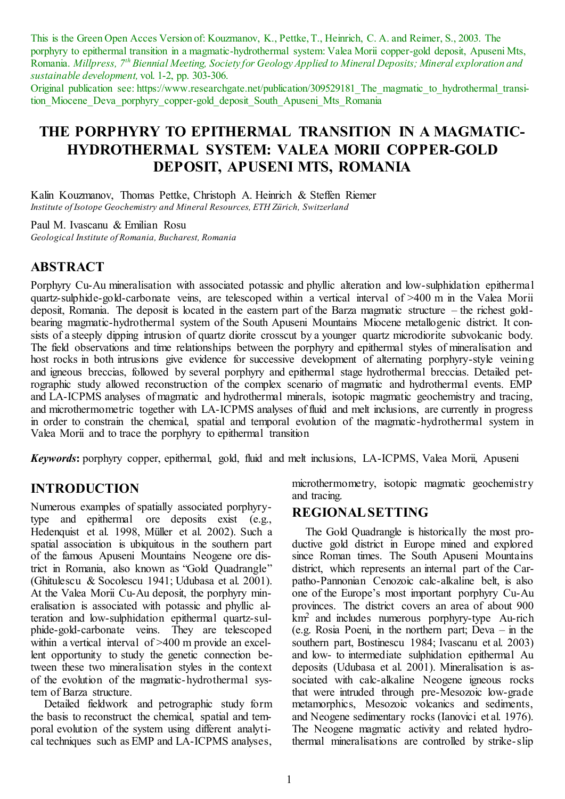This is the Green Open Acces Version of: Kouzmanov, K., Pettke, T., Heinrich, C. A. and Reimer, S., 2003. The porphyry to epithermal transition in a magmatic-hydrothermal system: Valea Morii copper-gold deposit, Apuseni Mts, Romania. *Millpress, 7th Biennial Meeting, Society for Geology Applied to Mineral Deposits; Mineral exploration and sustainable development,* vol. 1-2, pp. 303-306.

Original publication see: https://www.researchgate.net/publication/309529181\_The\_magmatic\_to\_hydrothermal\_transition Miocene Deva porphyry copper-gold deposit South Apuseni Mts Romania

# **THE PORPHYRY TO EPITHERMAL TRANSITION IN A MAGMATIC-HYDROTHERMAL SYSTEM: VALEA MORII COPPER-GOLD DEPOSIT, APUSENI MTS, ROMANIA**

Kalin Kouzmanov, Thomas Pettke, Christoph A. Heinrich & Steffen Riemer *Institute of Isotope Geochemistry and Mineral Resources, ETH Zürich, Switzerland* 

Paul M. Ivascanu & Emilian Rosu *Geological Institute of Romania, Bucharest, Romania* 

### **ABSTRACT**

Porphyry Cu-Au mineralisation with associated potassic and phyllic alteration and low-sulphidation epithermal quartz-sulphide-gold-carbonate veins, are telescoped within a vertical interval of >400 m in the Valea Morii deposit, Romania. The deposit is located in the eastern part of the Barza magmatic structure – the richest goldbearing magmatic-hydrothermal system of the South Apuseni Mountains Miocene metallogenic district. It consists of a steeply dipping intrusion of quartz diorite crosscut by a younger quartz microdiorite subvolcanic body. The field observations and time relationships between the porphyry and epithermal styles of mineralisation and host rocks in both intrusions give evidence for successive development of alternating porphyry-style veining and igneous breccias, followed by several porphyry and epithermal stage hydrothermal breccias. Detailed petrographic study allowed reconstruction of the complex scenario of magmatic and hydrothermal events. EMP and LA-ICPMS analyses of magmatic and hydrothermal minerals, isotopic magmatic geochemistry and tracing, and microthermometric together with LA-ICPMS analyses of fluid and melt inclusions, are currently in progress in order to constrain the chemical, spatial and temporal evolution of the magmatic-hydrothermal system in Valea Morii and to trace the porphyry to epithermal transition

*Keywords***:** porphyry copper, epithermal, gold, fluid and melt inclusions, LA-ICPMS, Valea Morii, Apuseni

## **INTRODUCTION**

Numerous examples of spatially associated porphyrytype and epithermal ore deposits exist (e.g., Hedenquist et al. 1998, Müller et al. 2002). Such a spatial association is ubiquitous in the southern part of the famous Apuseni Mountains Neogene ore district in Romania, also known as "Gold Quadrangle" (Ghitulescu & Socolescu 1941; Udubasa et al. 2001). At the Valea Morii Cu-Au deposit, the porphyry mineralisation is associated with potassic and phyllic alteration and low-sulphidation epithermal quartz-sulphide-gold-carbonate veins. They are telescoped within a vertical interval of >400 m provide an excellent opportunity to study the genetic connection between these two mineralisation styles in the context of the evolution of the magmatic-hydrothermal system of Barza structure.

Detailed fieldwork and petrographic study form the basis to reconstruct the chemical, spatial and temporal evolution of the system using different analytical techniques such as EMP and LA-ICPMS analyses,

microthermometry, isotopic magmatic geochemistry and tracing.

#### **REGIONAL SETTING**

The Gold Quadrangle is historically the most productive gold district in Europe mined and explored since Roman times. The South Apuseni Mountains district, which represents an internal part of the Carpatho-Pannonian Cenozoic calc-alkaline belt, is also one of the Europe's most important porphyry Cu-Au provinces. The district covers an area of about 900 km<sup>2</sup> and includes numerous porphyry-type Au-rich (e.g. Rosia Poeni, in the northern part; Deva – in the southern part, Bostinescu 1984; Ivascanu et al. 2003) and low- to intermediate sulphidation epithermal Au deposits (Udubasa et al. 2001). Mineralisation is associated with calc-alkaline Neogene igneous rocks that were intruded through pre-Mesozoic low-grade metamorphics, Mesozoic volcanics and sediments, and Neogene sedimentary rocks (Ianovici et al. 1976). The Neogene magmatic activity and related hydrothermal mineralisations are controlled by strike-slip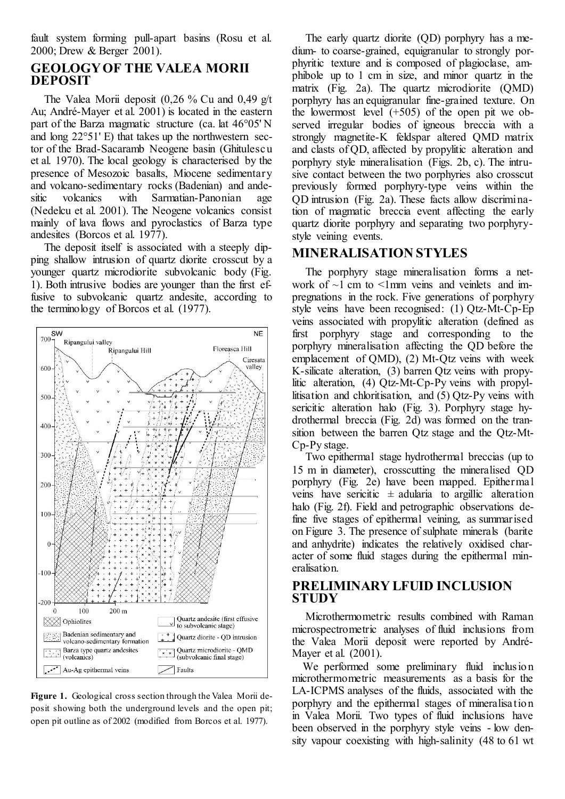fault system forming pull-apart basins (Rosu et al. 2000; Drew & Berger 2001).

#### **GEOLOGY OF THE VALEA MORII DEPOSIT**

The Valea Morii deposit  $(0.26 \%$  Cu and  $(0.49 \text{ g/t})$ Au; André-Mayer et al. 2001) is located in the eastern part of the Barza magmatic structure (ca. lat 46°05' N and long 22°51' E) that takes up the northwestern sector of the Brad-Sacaramb Neogene basin (Ghitulescu et al. 1970). The local geology is characterised by the presence of Mesozoic basalts, Miocene sedimentary and volcano-sedimentary rocks (Badenian) and andesitic volcanics with Sarmatian-Panonian age sitic volcanics with Sarmatian-Panonian age (Nedelcu et al. 2001). The Neogene volcanics consist mainly of lava flows and pyroclastics of Barza type andesites (Borcos et al. 1977).

The deposit itself is associated with a steeply dipping shallow intrusion of quartz diorite crosscut by a younger quartz microdiorite subvolcanic body (Fig. 1). Both intrusive bodies are younger than the first effusive to subvolcanic quartz andesite, according to the terminology of Borcos et al. (1977).



**Figure 1.** Geological cross section through the Valea Morii deposit showing both the underground levels and the open pit; open pit outline as of 2002 (modified from Borcos et al. 1977).

The early quartz diorite (QD) porphyry has a medium- to coarse-grained, equigranular to strongly porphyritic texture and is composed of plagioclase, amphibole up to 1 cm in size, and minor quartz in the matrix (Fig. 2a). The quartz microdiorite (QMD) porphyry has an equigranular fine-grained texture. On the lowermost level  $(+505)$  of the open pit we observed irregular bodies of igneous breccia with a strongly magnetite-K feldspar altered QMD matrix and clasts of QD, affected by propylitic alteration and porphyry style mineralisation (Figs. 2b, c). The intrusive contact between the two porphyries also crosscut previously formed porphyry-type veins within the QD intrusion (Fig. 2a). These facts allow discrimination of magmatic breccia event affecting the early quartz diorite porphyry and separating two porphyrystyle veining events.

#### **MINERALISATION STYLES**

The porphyry stage mineralisation forms a network of  $\sim$ 1 cm to  $\le$ 1 mm veins and veinlets and impregnations in the rock. Five generations of porphyry style veins have been recognised: (1) Qtz-Mt-Cp-Ep veins associated with propylitic alteration (defined as first porphyry stage and corresponding to the porphyry mineralisation affecting the QD before the emplacement of QMD), (2) Mt-Qtz veins with week K-silicate alteration, (3) barren Qtz veins with propylitic alteration, (4) Qtz-Mt-Cp-Py veins with propyllitisation and chloritisation, and (5) Qtz-Py veins with sericitic alteration halo (Fig. 3). Porphyry stage hydrothermal breccia (Fig. 2d) was formed on the transition between the barren Qtz stage and the Qtz-Mt-Cp-Py stage.

Two epithermal stage hydrothermal breccias (up to 15 m in diameter), crosscutting the mineralised QD porphyry (Fig. 2e) have been mapped. Epithermal veins have sericitic  $\pm$  adularia to argillic alteration halo (Fig. 2f). Field and petrographic observations define five stages of epithermal veining, as summarised on Figure 3. The presence of sulphate minerals (barite and anhydrite) indicates the relatively oxidised character of some fluid stages during the epithermal mineralisation.

#### **PRELIMINARY LFUID INCLUSION STUDY**

Microthermometric results combined with Raman microspectrometric analyses of fluid inclusions from the Valea Morii deposit were reported by André-Mayer et al. (2001).

We performed some preliminary fluid inclusion microthermometric measurements as a basis for the LA-ICPMS analyses of the fluids, associated with the porphyry and the epithermal stages of mineralisation in Valea Morii. Two types of fluid inclusions have been observed in the porphyry style veins - low density vapour coexisting with high-salinity (48 to 61 wt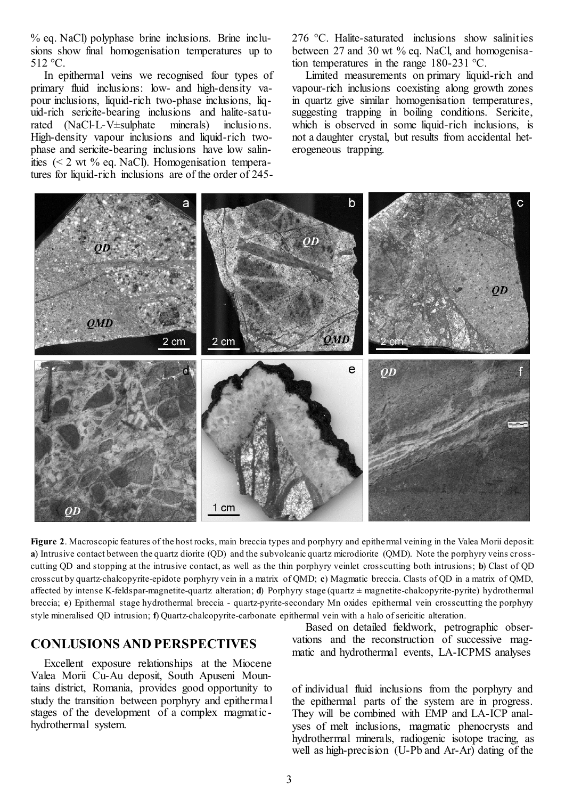% eq. NaCl) polyphase brine inclusions. Brine inclusions show final homogenisation temperatures up to 512 °C.

In epithermal veins we recognised four types of primary fluid inclusions: low- and high-density vapour inclusions, liquid-rich two-phase inclusions, liquid-rich sericite-bearing inclusions and halite-saturated (NaCl-L-V±sulphate minerals) inclusions. High-density vapour inclusions and liquid-rich twophase and sericite-bearing inclusions have low salinities (< 2 wt % eq. NaCl). Homogenisation temperatures for liquid-rich inclusions are of the order of 245276 °C. Halite-saturated inclusions show salinities between 27 and 30 wt % eq. NaCl, and homogenisation temperatures in the range 180-231 °C.

Limited measurements on primary liquid-rich and vapour-rich inclusions coexisting along growth zones in quartz give similar homogenisation temperatures, suggesting trapping in boiling conditions. Sericite, which is observed in some liquid-rich inclusions, is not a daughter crystal, but results from accidental heterogeneous trapping.



**Figure 2**. Macroscopic features of the host rocks, main breccia types and porphyry and epithermal veining in the Valea Morii deposit: **a**) Intrusive contact between the quartz diorite (QD) and the subvolcanic quartz microdiorite (QMD). Note the porphyry veins crosscutting QD and stopping at the intrusive contact, as well as the thin porphyry veinlet crosscutting both intrusions; **b**) Clast of QD crosscut by quartz-chalcopyrite-epidote porphyry vein in a matrix of QMD; **c**) Magmatic breccia. Clasts of QD in a matrix of QMD, affected by intense K-feldspar-magnetite-quartz alteration; **d**) Porphyry stage (quartz ± magnetite-chalcopyrite-pyrite) hydrothermal breccia; **e**) Epithermal stage hydrothermal breccia - quartz-pyrite-secondary Mn oxides epithermal vein crosscutting the porphyry style mineralised QD intrusion; **f**) Quartz-chalcopyrite-carbonate epithermal vein with a halo of sericitic alteration.

#### **CONLUSIONS AND PERSPECTIVES**

Excellent exposure relationships at the Miocene Valea Morii Cu-Au deposit, South Apuseni Mountains district, Romania, provides good opportunity to study the transition between porphyry and epithermal stages of the development of a complex magmatichydrothermal system.

Based on detailed fieldwork, petrographic observations and the reconstruction of successive magmatic and hydrothermal events, LA-ICPMS analyses

of individual fluid inclusions from the porphyry and the epithermal parts of the system are in progress. They will be combined with EMP and LA-ICP analyses of melt inclusions, magmatic phenocrysts and hydrothermal minerals, radiogenic isotope tracing, as well as high-precision (U-Pb and Ar-Ar) dating of the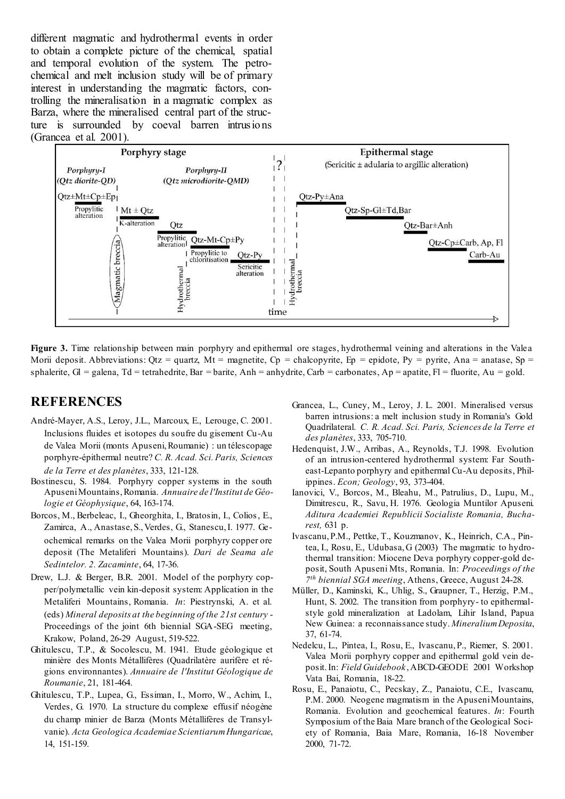different magmatic and hydrothermal events in order to obtain a complete picture of the chemical, spatial and temporal evolution of the system. The petrochemical and melt inclusion study will be of primary interest in understanding the magmatic factors, controlling the mineralisation in a magmatic complex as Barza, where the mineralised central part of the structure is surrounded by coeval barren intrusions (Grancea et al. 2001).



Figure 3. Time relationship between main porphyry and epithermal ore stages, hydrothermal veining and alterations in the Valea Morii deposit. Abbreviations:  $Otz =$  quartz,  $Mt =$  magnetite,  $Cp =$  chalcopyrite,  $Ep =$  epidote,  $Py =$  pyrite, Ana = anatase,  $Sp =$ sphalerite,  $Gl =$  galena,  $Td =$  tetrahedrite,  $Bar =$  barite,  $Anh =$  anhydrite,  $Carb =$  carbonates,  $Ap =$  apatite,  $Fl =$  fluorite,  $Au =$  gold.

#### **REFERENCES**

- André-Mayer, A.S., Leroy, J.L., Marcoux, E., Lerouge, C. 2001. Inclusions fluides et isotopes du soufre du gisement Cu-Au de Valea Morii (monts Apuseni, Roumanie) : un télescopage porphyre-épithermal neutre? *C. R. Acad. Sci. Paris, Sciences de la Terre et des planètes*, 333, 121-128.
- Bostinescu, S. 1984. Porphyry copper systems in the south Apuseni Mountains, Romania. *Annuaire de l'Institut de Géologie et Géophysique*, 64, 163-174.
- Borcos, M., Berbeleac, I., Gheorghita, I., Bratosin, I., Colios, E., Zamirca, A., Anastase, S., Verdes, G., Stanescu, I. 1977. Geochemical remarks on the Valea Morii porphyry copper ore deposit (The Metaliferi Mountains). *Dari de Seama ale Sedintelor. 2. Zacaminte*, 64, 17-36.
- Drew, L.J. & Berger, B.R. 2001. Model of the porphyry copper/polymetallic vein kin-deposit system: Application in the Metaliferi Mountains, Romania. *In*: Piestrynski, A. et al. (eds) *Mineral deposits at the beginning of the 21st century* - Proceedings of the joint 6th biennial SGA-SEG meeting, Krakow, Poland, 26-29 August, 519-522.
- Ghitulescu, T.P., & Socolescu, M. 1941. Etude géologique et minière des Monts Métallifères (Quadrilatère aurifère et régions environnantes). *Annuaire de l'Institut Géologique de Roumanie*, 21, 181-464.
- Ghitulescu, T.P., Lupea, G., Essiman, I., Morro, W., Achim, I., Verdes, G. 1970. La structure du complexe effusif néogène du champ minier de Barza (Monts Métallifères de Transylvanie). *Acta Geologica Academiae Scientiarum Hungaricae*, 14, 151-159.
- Grancea, L., Cuney, M., Leroy, J. L. 2001. Mineralised versus barren intrusions: a melt inclusion study in Romania's Gold Quadrilateral. *C. R. Acad. Sci. Paris, Sciences de la Terre et des planètes*, 333, 705-710.
- Hedenquist, J.W., Arribas, A., Reynolds, T.J. 1998. Evolution of an intrusion-centered hydrothermal system: Far Southeast-Lepanto porphyry and epithermal Cu-Au deposits, Philippines. *Econ; Geology*, 93, 373-404.
- Ianovici, V., Borcos, M., Bleahu, M., Patrulius, D., Lupu, M., Dimitrescu, R., Savu, H. 1976. Geologia Muntilor Apuseni. *Aditura Academiei Republicii Socialiste Romania, Bucharest,* 631 p.
- Ivascanu, P.M., Pettke, T., Kouzmanov, K., Heinrich, C.A., Pintea, I., Rosu, E., Udubasa, G (2003) The magmatic to hydrothermal transition: Miocene Deva porphyry copper-gold deposit, South Apuseni Mts, Romania. In: *Proceedings of the 7 th biennial SGA meeting*, Athens, Greece, August 24-28.
- Müller, D., Kaminski, K., Uhlig, S., Graupner, T., Herzig, P.M., Hunt, S. 2002. The transition from porphyry- to epithermalstyle gold mineralization at Ladolam, Lihir Island, Papua New Guinea: a reconnaissance study. *Mineralium Deposita*, 37, 61-74.
- Nedelcu, L., Pintea, I., Rosu, E., Ivascanu, P., Riemer, S. 2001. Valea Morii porphyry copper and epithermal gold vein deposit. In: *Field Guidebook* , ABCD-GEODE 2001 Workshop Vata Bai, Romania, 18-22.
- Rosu, E., Panaiotu, C., Pecskay, Z., Panaiotu, C.E., Ivascanu, P.M. 2000. Neogene magmatism in the Apuseni Mountains, Romania. Evolution and geochemical features. *In*: Fourth Symposium of the Baia Mare branch of the Geological Society of Romania, Baia Mare, Romania, 16-18 November 2000, 71-72.